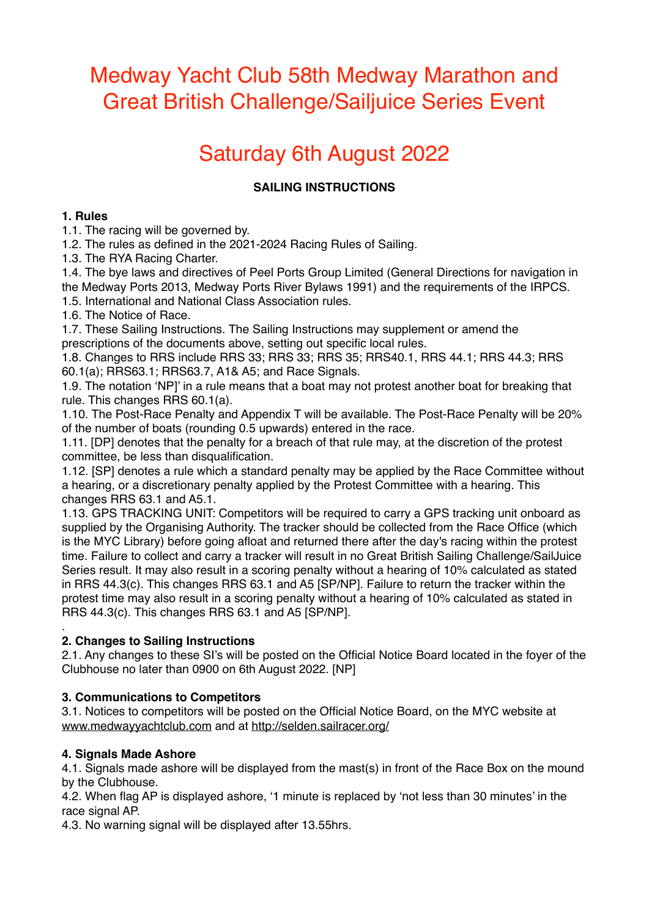## Medway Yacht Club 58th Medway Marathon and Great British Challenge/Sailjuice Series Event

# Saturday 6th August 2022

## **SAILING INSTRUCTIONS**

#### **1. Rules**

1.1. The racing will be governed by.

1.2. The rules as defined in the 2021-2024 Racing Rules of Sailing.

1.3. The RYA Racing Charter.

1.4. The bye laws and directives of Peel Ports Group Limited (General Directions for navigation in the Medway Ports 2013, Medway Ports River Bylaws 1991) and the requirements of the IRPCS.

1.5. International and National Class Association rules.

1.6. The Notice of Race.

1.7. These Sailing Instructions. The Sailing Instructions may supplement or amend the prescriptions of the documents above, setting out specific local rules.

1.8. Changes to RRS include RRS 33; RRS 33; RRS 35; RRS40.1, RRS 44.1; RRS 44.3; RRS 60.1(a); RRS63.1; RRS63.7, A1& A5; and Race Signals.

1.9. The notation 'NP]' in a rule means that a boat may not protest another boat for breaking that rule. This changes RRS 60.1(a).

1.10. The Post-Race Penalty and Appendix T will be available. The Post-Race Penalty will be 20% of the number of boats (rounding 0.5 upwards) entered in the race.

1.11. [DP] denotes that the penalty for a breach of that rule may, at the discretion of the protest committee, be less than disqualification.

1.12. [SP] denotes a rule which a standard penalty may be applied by the Race Committee without a hearing, or a discretionary penalty applied by the Protest Committee with a hearing. This changes RRS 63.1 and A5.1.

1.13. GPS TRACKING UNIT: Competitors will be required to carry a GPS tracking unit onboard as supplied by the Organising Authority. The tracker should be collected from the Race Office (which is the MYC Library) before going afloat and returned there after the day's racing within the protest time. Failure to collect and carry a tracker will result in no Great British Sailing Challenge/SailJuice Series result. It may also result in a scoring penalty without a hearing of 10% calculated as stated in RRS 44.3(c). This changes RRS 63.1 and A5 [SP/NP]. Failure to return the tracker within the protest time may also result in a scoring penalty without a hearing of 10% calculated as stated in RRS 44.3(c). This changes RRS 63.1 and A5 [SP/NP].

#### . **2. Changes to Sailing Instructions**

2.1. Any changes to these SI's will be posted on the Official Notice Board located in the foyer of the Clubhouse no later than 0900 on 6th August 2022. [NP]

#### **3. Communications to Competitors**

3.1. Notices to competitors will be posted on the Official Notice Board, on the MYC website at [www.medwayyachtclub.com](http://www.medwayyachtclub.com) and at <http://selden.sailracer.org/>

#### **4. Signals Made Ashore**

4.1. Signals made ashore will be displayed from the mast(s) in front of the Race Box on the mound by the Clubhouse.

4.2. When flag AP is displayed ashore, '1 minute is replaced by 'not less than 30 minutes' in the race signal AP.

4.3. No warning signal will be displayed after 13.55hrs.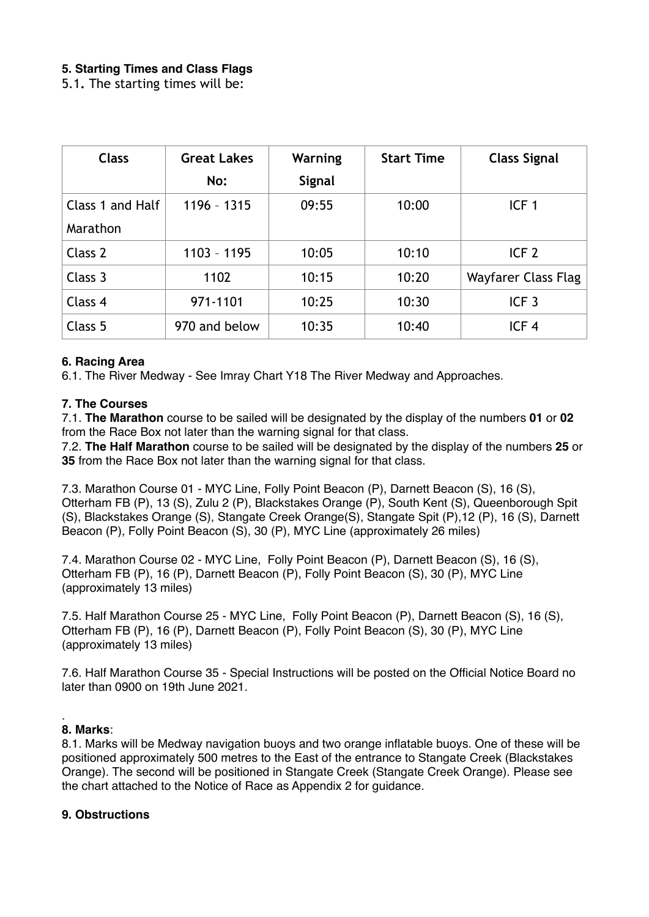#### **5. Starting Times and Class Flags**

5.1**.** The starting times will be:

| <b>Class</b>     | <b>Great Lakes</b> | Warning       | <b>Start Time</b> | <b>Class Signal</b> |
|------------------|--------------------|---------------|-------------------|---------------------|
|                  | No:                | <b>Signal</b> |                   |                     |
| Class 1 and Half | 1196 - 1315        | 09:55         | 10:00             | ICF <sub>1</sub>    |
| Marathon         |                    |               |                   |                     |
| Class 2          | 1103 - 1195        | 10:05         | 10:10             | ICF <sub>2</sub>    |
| Class 3          | 1102               | 10:15         | 10:20             | Wayfarer Class Flag |
| Class 4          | 971-1101           | 10:25         | 10:30             | ICF <sub>3</sub>    |
| Class 5          | 970 and below      | 10:35         | 10:40             | ICF <sub>4</sub>    |

#### **6. Racing Area**

6.1. The River Medway - See Imray Chart Y18 The River Medway and Approaches.

#### **7. The Courses**

7.1. **The Marathon** course to be sailed will be designated by the display of the numbers **01** or **02**  from the Race Box not later than the warning signal for that class.

7.2. **The Half Marathon** course to be sailed will be designated by the display of the numbers **25** or **35** from the Race Box not later than the warning signal for that class.

7.3. Marathon Course 01 - MYC Line, Folly Point Beacon (P), Darnett Beacon (S), 16 (S), Otterham FB (P), 13 (S), Zulu 2 (P), Blackstakes Orange (P), South Kent (S), Queenborough Spit (S), Blackstakes Orange (S), Stangate Creek Orange(S), Stangate Spit (P),12 (P), 16 (S), Darnett Beacon (P), Folly Point Beacon (S), 30 (P), MYC Line (approximately 26 miles)

7.4. Marathon Course 02 - MYC Line, Folly Point Beacon (P), Darnett Beacon (S), 16 (S), Otterham FB (P), 16 (P), Darnett Beacon (P), Folly Point Beacon (S), 30 (P), MYC Line (approximately 13 miles)

7.5. Half Marathon Course 25 - MYC Line, Folly Point Beacon (P), Darnett Beacon (S), 16 (S), Otterham FB (P), 16 (P), Darnett Beacon (P), Folly Point Beacon (S), 30 (P), MYC Line (approximately 13 miles)

7.6. Half Marathon Course 35 - Special Instructions will be posted on the Official Notice Board no later than 0900 on 19th June 2021.

#### . **8. Marks**:

8.1. Marks will be Medway navigation buoys and two orange inflatable buoys. One of these will be positioned approximately 500 metres to the East of the entrance to Stangate Creek (Blackstakes Orange). The second will be positioned in Stangate Creek (Stangate Creek Orange). Please see the chart attached to the Notice of Race as Appendix 2 for guidance.

#### **9. Obstructions**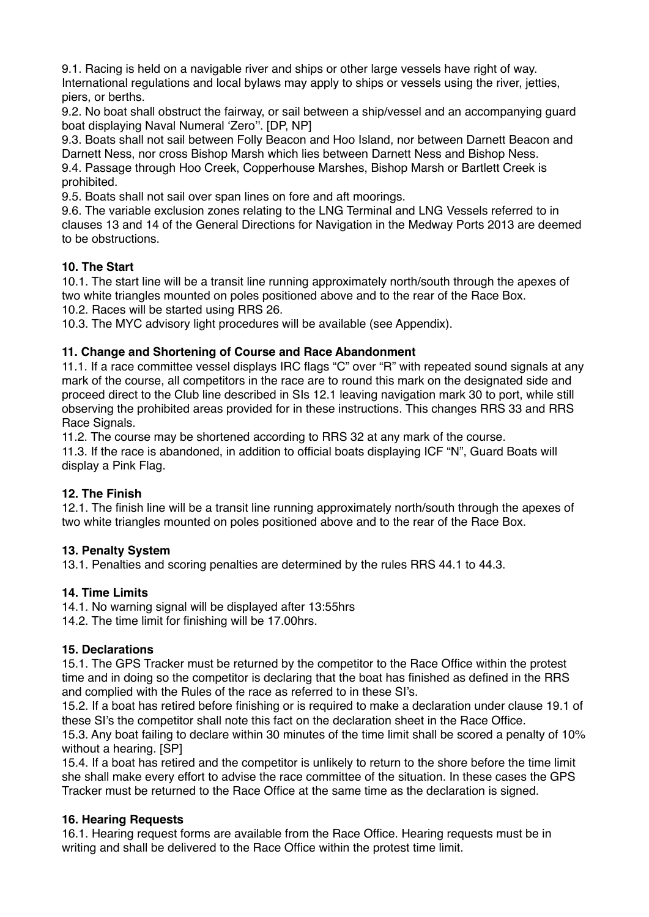9.1. Racing is held on a navigable river and ships or other large vessels have right of way. International regulations and local bylaws may apply to ships or vessels using the river, jetties, piers, or berths.

9.2. No boat shall obstruct the fairway, or sail between a ship/vessel and an accompanying guard boat displaying Naval Numeral 'Zero''. [DP, NP]

9.3. Boats shall not sail between Folly Beacon and Hoo Island, nor between Darnett Beacon and Darnett Ness, nor cross Bishop Marsh which lies between Darnett Ness and Bishop Ness. 9.4. Passage through Hoo Creek, Copperhouse Marshes, Bishop Marsh or Bartlett Creek is prohibited.

9.5. Boats shall not sail over span lines on fore and aft moorings.

9.6. The variable exclusion zones relating to the LNG Terminal and LNG Vessels referred to in clauses 13 and 14 of the General Directions for Navigation in the Medway Ports 2013 are deemed to be obstructions.

#### **10. The Start**

10.1. The start line will be a transit line running approximately north/south through the apexes of two white triangles mounted on poles positioned above and to the rear of the Race Box.

10.2. Races will be started using RRS 26.

10.3. The MYC advisory light procedures will be available (see Appendix).

#### **11. Change and Shortening of Course and Race Abandonment**

11.1. If a race committee vessel displays IRC flags "C" over "R" with repeated sound signals at any mark of the course, all competitors in the race are to round this mark on the designated side and proceed direct to the Club line described in SIs 12.1 leaving navigation mark 30 to port, while still observing the prohibited areas provided for in these instructions. This changes RRS 33 and RRS Race Signals.

11.2. The course may be shortened according to RRS 32 at any mark of the course. 11.3. If the race is abandoned, in addition to official boats displaying ICF "N", Guard Boats will display a Pink Flag.

#### **12. The Finish**

12.1. The finish line will be a transit line running approximately north/south through the apexes of two white triangles mounted on poles positioned above and to the rear of the Race Box.

#### **13. Penalty System**

13.1. Penalties and scoring penalties are determined by the rules RRS 44.1 to 44.3.

#### **14. Time Limits**

14.1. No warning signal will be displayed after 13:55hrs

14.2. The time limit for finishing will be 17.00hrs.

#### **15. Declarations**

15.1. The GPS Tracker must be returned by the competitor to the Race Office within the protest time and in doing so the competitor is declaring that the boat has finished as defined in the RRS and complied with the Rules of the race as referred to in these SI's.

15.2. If a boat has retired before finishing or is required to make a declaration under clause 19.1 of these SI's the competitor shall note this fact on the declaration sheet in the Race Office.

15.3. Any boat failing to declare within 30 minutes of the time limit shall be scored a penalty of 10% without a hearing. [SP]

15.4. If a boat has retired and the competitor is unlikely to return to the shore before the time limit she shall make every effort to advise the race committee of the situation. In these cases the GPS Tracker must be returned to the Race Office at the same time as the declaration is signed.

#### **16. Hearing Requests**

16.1. Hearing request forms are available from the Race Office. Hearing requests must be in writing and shall be delivered to the Race Office within the protest time limit.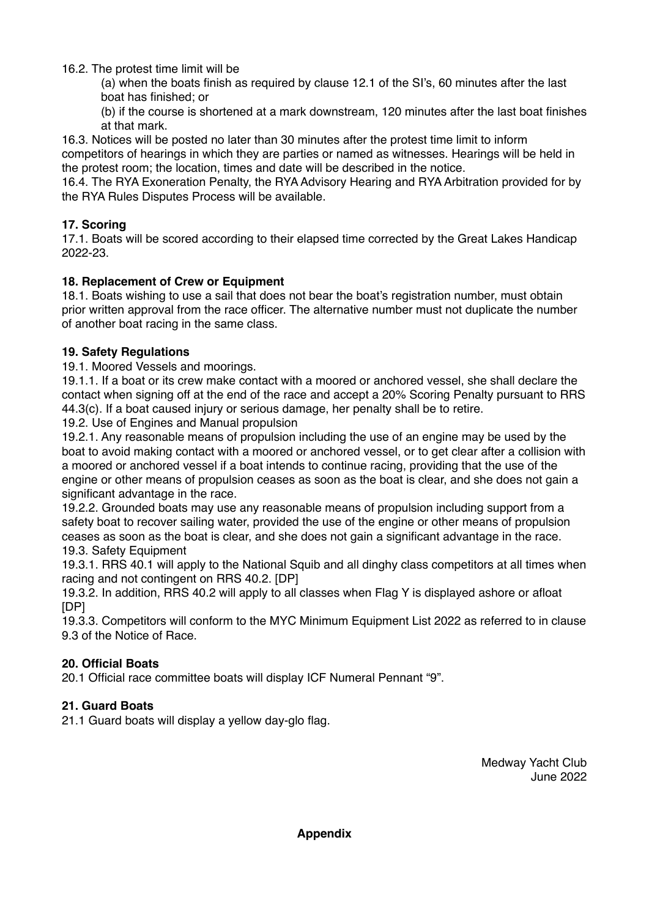16.2. The protest time limit will be

(a) when the boats finish as required by clause 12.1 of the SI's, 60 minutes after the last boat has finished; or

(b) if the course is shortened at a mark downstream, 120 minutes after the last boat finishes at that mark.

16.3. Notices will be posted no later than 30 minutes after the protest time limit to inform competitors of hearings in which they are parties or named as witnesses. Hearings will be held in the protest room; the location, times and date will be described in the notice.

16.4. The RYA Exoneration Penalty, the RYA Advisory Hearing and RYA Arbitration provided for by the RYA Rules Disputes Process will be available.

## **17. Scoring**

17.1. Boats will be scored according to their elapsed time corrected by the Great Lakes Handicap 2022-23.

### **18. Replacement of Crew or Equipment**

18.1. Boats wishing to use a sail that does not bear the boat's registration number, must obtain prior written approval from the race officer. The alternative number must not duplicate the number of another boat racing in the same class.

### **19. Safety Regulations**

19.1. Moored Vessels and moorings.

19.1.1. If a boat or its crew make contact with a moored or anchored vessel, she shall declare the contact when signing off at the end of the race and accept a 20% Scoring Penalty pursuant to RRS 44.3(c). If a boat caused injury or serious damage, her penalty shall be to retire.

19.2. Use of Engines and Manual propulsion

19.2.1. Any reasonable means of propulsion including the use of an engine may be used by the boat to avoid making contact with a moored or anchored vessel, or to get clear after a collision with a moored or anchored vessel if a boat intends to continue racing, providing that the use of the engine or other means of propulsion ceases as soon as the boat is clear, and she does not gain a significant advantage in the race.

19.2.2. Grounded boats may use any reasonable means of propulsion including support from a safety boat to recover sailing water, provided the use of the engine or other means of propulsion ceases as soon as the boat is clear, and she does not gain a significant advantage in the race. 19.3. Safety Equipment

19.3.1. RRS 40.1 will apply to the National Squib and all dinghy class competitors at all times when racing and not contingent on RRS 40.2. [DP]

19.3.2. In addition, RRS 40.2 will apply to all classes when Flag Y is displayed ashore or afloat [DP]

19.3.3. Competitors will conform to the MYC Minimum Equipment List 2022 as referred to in clause 9.3 of the Notice of Race.

## **20. Official Boats**

20.1 Official race committee boats will display ICF Numeral Pennant "9".

## **21. Guard Boats**

21.1 Guard boats will display a yellow day-glo flag.

Medway Yacht Club June 2022

**Appendix**